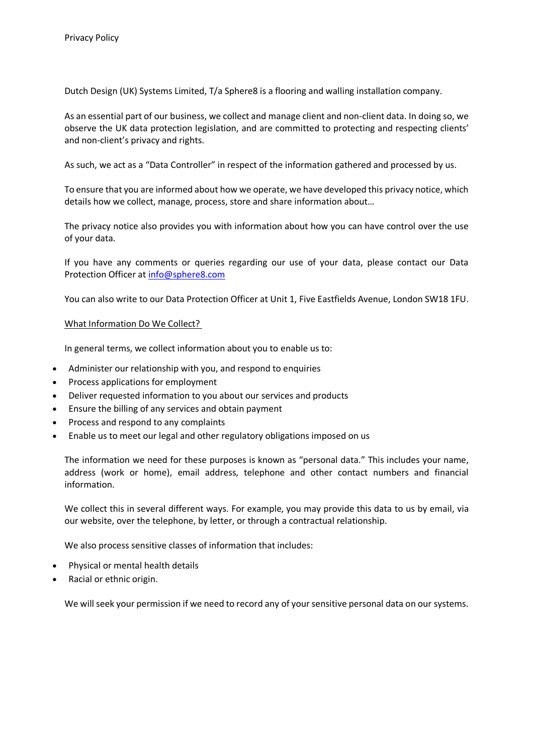Dutch Design (UK) Systems Limited, T/a Sphere8 is a flooring and walling installation company.

As an essential part of our business, we collect and manage client and non-client data. In doing so, we observe the UK data protection legislation, and are committed to protecting and respecting clients' and non-client's privacy and rights.

As such, we act as a "Data Controller" in respect of the information gathered and processed by us.

To ensure that you are informed about how we operate, we have developed this privacy notice, which details how we collect, manage, process, store and share information about…

The privacy notice also provides you with information about how you can have control over the use of your data.

If you have any comments or queries regarding our use of your data, please contact our Data Protection Officer at info@sphere8.com

You can also write to our Data Protection Officer at Unit 1, Five Eastfields Avenue, London SW18 1FU.

#### What Information Do We Collect?

In general terms, we collect information about you to enable us to:

- Administer our relationship with you, and respond to enquiries
- Process applications for employment
- Deliver requested information to you about our services and products
- Ensure the billing of any services and obtain payment
- Process and respond to any complaints
- Enable us to meet our legal and other regulatory obligations imposed on us

The information we need for these purposes is known as "personal data." This includes your name, address (work or home), email address, telephone and other contact numbers and financial information.

We collect this in several different ways. For example, you may provide this data to us by email, via our website, over the telephone, by letter, or through a contractual relationship.

We also process sensitive classes of information that includes:

- Physical or mental health details
- Racial or ethnic origin.

We will seek your permission if we need to record any of your sensitive personal data on our systems.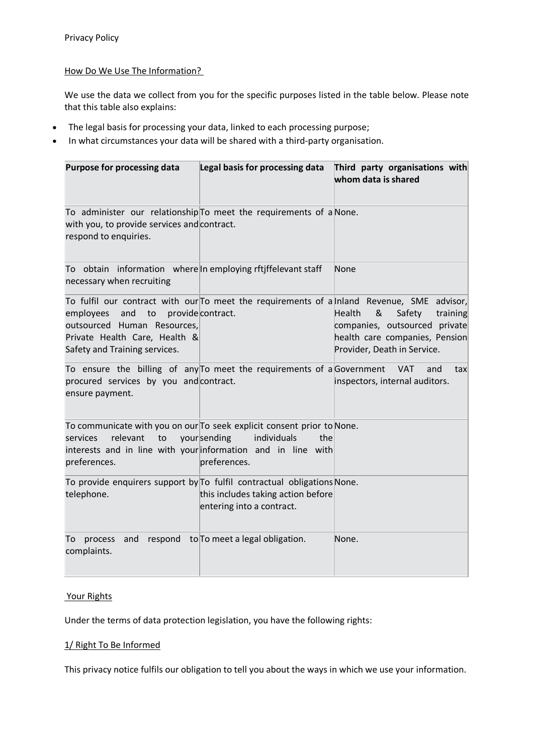## How Do We Use The Information?

We use the data we collect from you for the specific purposes listed in the table below. Please note that this table also explains:

- The legal basis for processing your data, linked to each processing purpose;
- In what circumstances your data will be shared with a third-party organisation.

| <b>Purpose for processing data</b>                                                                                                         | Legal basis for processing data                                                                                   | Third party organisations with<br>whom data is shared                                                                                                                                                                             |
|--------------------------------------------------------------------------------------------------------------------------------------------|-------------------------------------------------------------------------------------------------------------------|-----------------------------------------------------------------------------------------------------------------------------------------------------------------------------------------------------------------------------------|
| To administer our relationship To meet the requirements of a None.<br>with you, to provide services and contract.<br>respond to enquiries. |                                                                                                                   |                                                                                                                                                                                                                                   |
| To obtain information where In employing rftjffelevant staff<br>necessary when recruiting                                                  |                                                                                                                   | None                                                                                                                                                                                                                              |
| and<br>to<br>employees<br>outsourced Human Resources,<br>Private Health Care, Health &<br>Safety and Training services.                    | provide contract.                                                                                                 | To fulfil our contract with our To meet the requirements of a Inland Revenue, SME advisor,<br>Health<br>&<br>Safety<br>training<br>companies, outsourced private<br>health care companies, Pension<br>Provider, Death in Service. |
| To ensure the billing of any To meet the requirements of a Government<br>procured services by you and contract.<br>ensure payment.         |                                                                                                                   | <b>VAT</b><br>and<br>tax<br>inspectors, internal auditors.                                                                                                                                                                        |
| To communicate with you on our To seek explicit consent prior to None.<br>relevant<br>to<br>services<br>preferences.                       | yoursending<br>individuals<br>the<br>interests and in line with your information and in line with<br>preferences. |                                                                                                                                                                                                                                   |
| To provide enquirers support by To fulfil contractual obligations None.<br>telephone.                                                      | this includes taking action before<br>entering into a contract.                                                   |                                                                                                                                                                                                                                   |
| and<br>respond<br>To<br>process<br>complaints.                                                                                             | to To meet a legal obligation.                                                                                    | None.                                                                                                                                                                                                                             |

#### Your Rights

Under the terms of data protection legislation, you have the following rights:

#### 1/ Right To Be Informed

This privacy notice fulfils our obligation to tell you about the ways in which we use your information.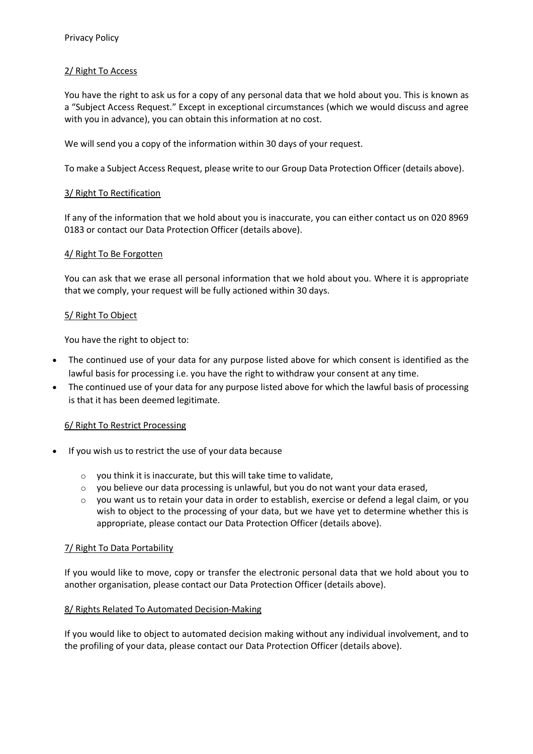# 2/ Right To Access

You have the right to ask us for a copy of any personal data that we hold about you. This is known as a "Subject Access Request." Except in exceptional circumstances (which we would discuss and agree with you in advance), you can obtain this information at no cost.

We will send you a copy of the information within 30 days of your request.

To make a Subject Access Request, please write to our Group Data Protection Officer (details above).

### 3/ Right To Rectification

If any of the information that we hold about you is inaccurate, you can either contact us on 020 8969 0183 or contact our Data Protection Officer (details above).

#### 4/ Right To Be Forgotten

You can ask that we erase all personal information that we hold about you. Where it is appropriate that we comply, your request will be fully actioned within 30 days.

#### 5/ Right To Object

You have the right to object to:

- The continued use of your data for any purpose listed above for which consent is identified as the lawful basis for processing i.e. you have the right to withdraw your consent at any time.
- The continued use of your data for any purpose listed above for which the lawful basis of processing is that it has been deemed legitimate.

#### 6/ Right To Restrict Processing

- If you wish us to restrict the use of your data because
	- o you think it is inaccurate, but this will take time to validate,
	- $\circ$  you believe our data processing is unlawful, but you do not want your data erased,
	- $\circ$  you want us to retain your data in order to establish, exercise or defend a legal claim, or you wish to object to the processing of your data, but we have yet to determine whether this is appropriate, please contact our Data Protection Officer (details above).

## 7/ Right To Data Portability

If you would like to move, copy or transfer the electronic personal data that we hold about you to another organisation, please contact our Data Protection Officer (details above).

#### 8/ Rights Related To Automated Decision-Making

If you would like to object to automated decision making without any individual involvement, and to the profiling of your data, please contact our Data Protection Officer (details above).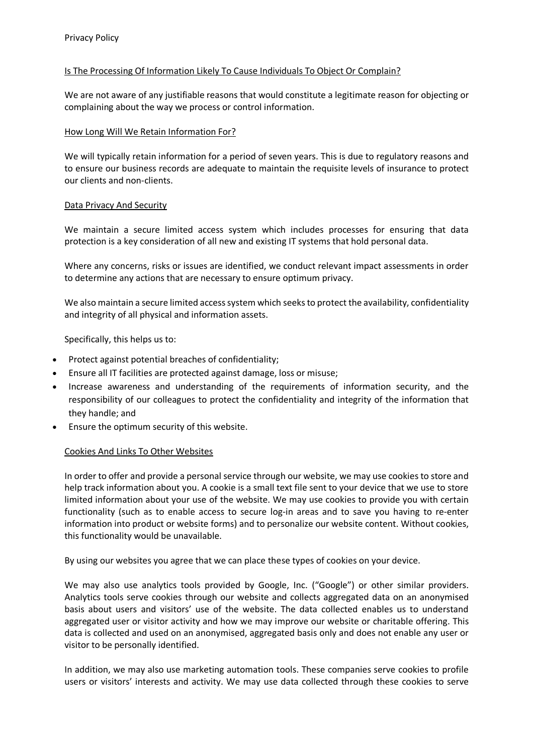### Is The Processing Of Information Likely To Cause Individuals To Object Or Complain?

We are not aware of any justifiable reasons that would constitute a legitimate reason for objecting or complaining about the way we process or control information.

### How Long Will We Retain Information For?

We will typically retain information for a period of seven years. This is due to regulatory reasons and to ensure our business records are adequate to maintain the requisite levels of insurance to protect our clients and non-clients.

#### Data Privacy And Security

We maintain a secure limited access system which includes processes for ensuring that data protection is a key consideration of all new and existing IT systems that hold personal data.

Where any concerns, risks or issues are identified, we conduct relevant impact assessments in order to determine any actions that are necessary to ensure optimum privacy.

We also maintain a secure limited access system which seeks to protect the availability, confidentiality and integrity of all physical and information assets.

Specifically, this helps us to:

- Protect against potential breaches of confidentiality;
- Ensure all IT facilities are protected against damage, loss or misuse;
- Increase awareness and understanding of the requirements of information security, and the responsibility of our colleagues to protect the confidentiality and integrity of the information that they handle; and
- Ensure the optimum security of this website.

#### Cookies And Links To Other Websites

In order to offer and provide a personal service through our website, we may use cookiesto store and help track information about you. A cookie is a small text file sent to your device that we use to store limited information about your use of the website. We may use cookies to provide you with certain functionality (such as to enable access to secure log-in areas and to save you having to re-enter information into product or website forms) and to personalize our website content. Without cookies, this functionality would be unavailable.

By using our websites you agree that we can place these types of cookies on your device.

We may also use analytics tools provided by Google, Inc. ("Google") or other similar providers. Analytics tools serve cookies through our website and collects aggregated data on an anonymised basis about users and visitors' use of the website. The data collected enables us to understand aggregated user or visitor activity and how we may improve our website or charitable offering. This data is collected and used on an anonymised, aggregated basis only and does not enable any user or visitor to be personally identified.

In addition, we may also use marketing automation tools. These companies serve cookies to profile users or visitors' interests and activity. We may use data collected through these cookies to serve